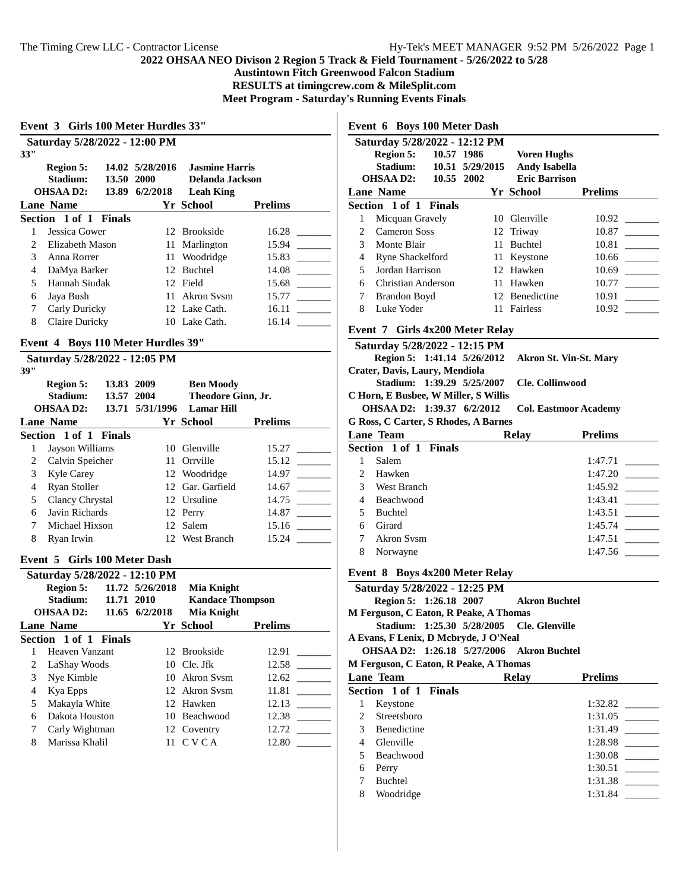**Event 3 Girls 100 Meter Hurdles 33"**

#### **2022 OHSAA NEO Divison 2 Region 5 Track & Field Tournament - 5/26/2022 to 5/28**

**Austintown Fitch Greenwood Falcon Stadium**

**RESULTS at timingcrew.com & MileSplit.com**

**Meet Program - Saturday's Running Events Finals**

| 33"            | Saturday 5/28/2022 - 12:00 PM      |            |                 |                         |                |
|----------------|------------------------------------|------------|-----------------|-------------------------|----------------|
|                | <b>Region 5:</b>                   |            | 14.02 5/28/2016 | <b>Jasmine Harris</b>   |                |
|                | Stadium:                           | 13.50 2000 |                 | Delanda Jackson         |                |
|                | <b>OHSAAD2:</b>                    |            | 13.89 6/2/2018  | <b>Leah King</b>        |                |
|                | <b>Lane Name</b>                   |            |                 | Yr School               | <b>Prelims</b> |
|                | Section 1 of 1 Finals              |            |                 |                         |                |
| 1              | Jessica Gower                      |            |                 | 12 Brookside            | 16.28          |
| 2              | Elizabeth Mason                    |            |                 | 11 Marlington           | 15.94          |
| 3              | Anna Rorrer                        |            |                 | 11 Woodridge            | 15.83          |
| 4              | DaMya Barker                       |            |                 | 12 Buchtel              | 14.08          |
| 5              | Hannah Siudak                      |            |                 | 12 Field                | 15.68          |
| 6              | Jaya Bush                          |            | 11              | Akron Sysm              | 15.77          |
| 7              | Carly Duricky                      |            |                 | 12 Lake Cath.           | 16.11          |
| 8              | Claire Duricky                     |            |                 | 10 Lake Cath.           | 16.14          |
|                | Event 4 Boys 110 Meter Hurdles 39" |            |                 |                         |                |
|                | Saturday 5/28/2022 - 12:05 PM      |            |                 |                         |                |
| 39"            |                                    |            |                 |                         |                |
|                | <b>Region 5:</b>                   | 13.83 2009 |                 | <b>Ben Moody</b>        |                |
|                | Stadium:                           | 13.57 2004 |                 | Theodore Ginn, Jr.      |                |
|                | <b>OHSAAD2:</b>                    |            | 13.71 5/31/1996 | <b>Lamar Hill</b>       |                |
|                | <b>Lane Name</b>                   |            |                 | Yr School               | <b>Prelims</b> |
|                | Section 1 of 1 Finals              |            |                 |                         |                |
| $\mathbf{1}$   | Jayson Williams                    |            |                 | 10 Glenville            | 15.27          |
| 2              | Calvin Speicher                    |            |                 | 11 Orrville             | 15.12          |
| 3              | Kyle Carey                         |            |                 | 12 Woodridge            | 14.97          |
| 4              | Ryan Stoller                       |            |                 | 12 Gar. Garfield        | 14.67          |
| 5              | <b>Clancy Chrystal</b>             |            |                 | 12 Ursuline             | 14.75          |
| 6              | Javin Richards                     |            |                 | 12 Perry                | 14.87          |
| 7              | Michael Hixson                     |            |                 | 12 Salem                | 15.16          |
| 8              | Ryan Irwin                         |            |                 | 12 West Branch          | 15.24          |
|                | Event 5 Girls 100 Meter Dash       |            |                 |                         |                |
|                | Saturday 5/28/2022 - 12:10 PM      |            |                 |                         |                |
|                | Region 5:                          |            | 11.72 5/26/2018 | Mia Knight              |                |
|                | Stadium:                           | 11.71 2010 |                 | <b>Kandace Thompson</b> |                |
|                | <b>OHSAA D2:</b>                   |            | 11.65 6/2/2018  | <b>Mia Knight</b>       |                |
|                | <b>Lane Name</b>                   |            |                 | Yr School               | <b>Prelims</b> |
|                | Section 1 of 1 Finals              |            |                 |                         |                |
| 1              | Heaven Vanzant                     |            |                 | 12 Brookside            | 12.91          |
| $\overline{c}$ | LaShay Woods                       |            |                 | 10 Cle. Jfk             | 12.58          |
| 3              | Nye Kimble                         |            | 10              | <b>Akron Sysm</b>       | 12.62          |
| 4              | Kya Epps                           |            |                 | 12 Akron Svsm           | 11.81          |
| 5              | Makayla White                      |            |                 | 12 Hawken               | 12.13          |
| 6              | Dakota Houston                     |            | 10              | Beachwood               | 12.38          |
| 7              | Carly Wightman                     |            | 12              | Coventry                | 12.72          |
| 8              | Marissa Khalil                     |            | 11              | <b>CVCA</b>             | 12.80          |
|                |                                    |            |                 |                         |                |

**Event 6 Boys 100 Meter Dash**

|                                 | Saturday 5/28/2022 - 12:12 PM        |  |  |                               |                |  |
|---------------------------------|--------------------------------------|--|--|-------------------------------|----------------|--|
|                                 | Region 5: 10.57 1986                 |  |  | <b>Voren Hughs</b>            |                |  |
|                                 | Stadium: 10.51 5/29/2015             |  |  | <b>Andy Isabella</b>          |                |  |
|                                 | OHSAA D2: 10.55 2002                 |  |  | <b>Eric Barrison</b>          |                |  |
|                                 | <b>Lane Name</b>                     |  |  | Yr School                     | <b>Prelims</b> |  |
|                                 | Section 1 of 1 Finals                |  |  |                               |                |  |
| $\mathbf{1}$                    | Micquan Gravely                      |  |  | 10 Glenville                  |                |  |
| 2                               | Cameron Soss                         |  |  | 12 Triway                     |                |  |
| 3                               | Monte Blair                          |  |  | 11 Buchtel                    | 10.81          |  |
| 4                               | <b>Ryne Shackelford</b>              |  |  | 11 Keystone                   | 10.66          |  |
| 5                               | Jordan Harrison                      |  |  | 12 Hawken                     |                |  |
| 6                               | Christian Anderson                   |  |  | 11 Hawken                     |                |  |
| 7                               | Brandon Boyd                         |  |  | 12 Benedictine                |                |  |
| 8                               | Luke Yoder                           |  |  | 11 Fairless                   |                |  |
| Event 7 Girls 4x200 Meter Relay |                                      |  |  |                               |                |  |
|                                 | Saturday 5/28/2022 - 12:15 PM        |  |  |                               |                |  |
|                                 | Region 5: 1:41.14 5/26/2012          |  |  | <b>Akron St. Vin-St. Mary</b> |                |  |
|                                 | Crater, Davis, Laury, Mendiola       |  |  |                               |                |  |
|                                 | Stadium: 1:39.29 5/25/2007           |  |  | Cle. Collinwood               |                |  |
|                                 | C Horn, E Busbee, W Miller, S Willis |  |  |                               |                |  |
|                                 | OHSAA D2: 1:39.37 6/2/2012           |  |  | <b>Col. Eastmoor Academy</b>  |                |  |
|                                 |                                      |  |  |                               |                |  |

**G Ross, C Carter, S Rhodes, A Barnes**

|   | <b>Lane Team</b>             | <b>Relay</b> | <b>Prelims</b> |
|---|------------------------------|--------------|----------------|
|   | <b>Section 1 of 1 Finals</b> |              |                |
|   | Salem                        |              | 1:47.71        |
|   | Hawken                       |              | 1:47.20        |
| 3 | West Branch                  |              | 1:45.92        |
|   | <b>Beachwood</b>             |              | 1:43.41        |
|   | <b>Buchtel</b>               |              | 1:43.51        |
| 6 | Girard                       |              | 1:45.74        |
|   | Akron Sysm                   |              | 1:47.51        |
| 8 | Norwayne                     |              | 1:47.56        |
|   |                              |              |                |

**Event 8 Boys 4x200 Meter Relay**

|                                           | $\cdots$ $\cdots$ $\cdots$ $\cdots$              |  |  |       |                |
|-------------------------------------------|--------------------------------------------------|--|--|-------|----------------|
|                                           | Saturday 5/28/2022 - 12:25 PM                    |  |  |       |                |
| Region 5: 1:26.18 2007 Akron Buchtel      |                                                  |  |  |       |                |
|                                           | M Ferguson, C Eaton, R Peake, A Thomas           |  |  |       |                |
| Stadium: 1:25.30 5/28/2005 Cle. Glenville |                                                  |  |  |       |                |
|                                           | A Evans, F Lenix, D Mcbryde, J O'Neal            |  |  |       |                |
|                                           | <b>OHSAA D2: 1:26.18 5/27/2006 Akron Buchtel</b> |  |  |       |                |
|                                           | M Ferguson, C Eaton, R Peake, A Thomas           |  |  |       |                |
|                                           | Lane Team                                        |  |  | Relay | <b>Prelims</b> |
|                                           | Section 1 of 1 Finals                            |  |  |       |                |
| 1                                         | Keystone                                         |  |  |       | 1:32.82        |
|                                           | 2 Streetsboro                                    |  |  |       | 1:31.05        |
|                                           | 3 Benedictine                                    |  |  |       | 1:31.49        |
|                                           | 4 Glenville                                      |  |  |       | 1:28.98        |
|                                           | 5 Beachwood                                      |  |  |       | 1:30.08        |
| 6                                         | Perry                                            |  |  |       | 1:30.51        |
| 7                                         | Buchtel                                          |  |  |       | 1:31.38        |

8 Woodridge 1:31.84 \_\_\_\_\_\_\_\_\_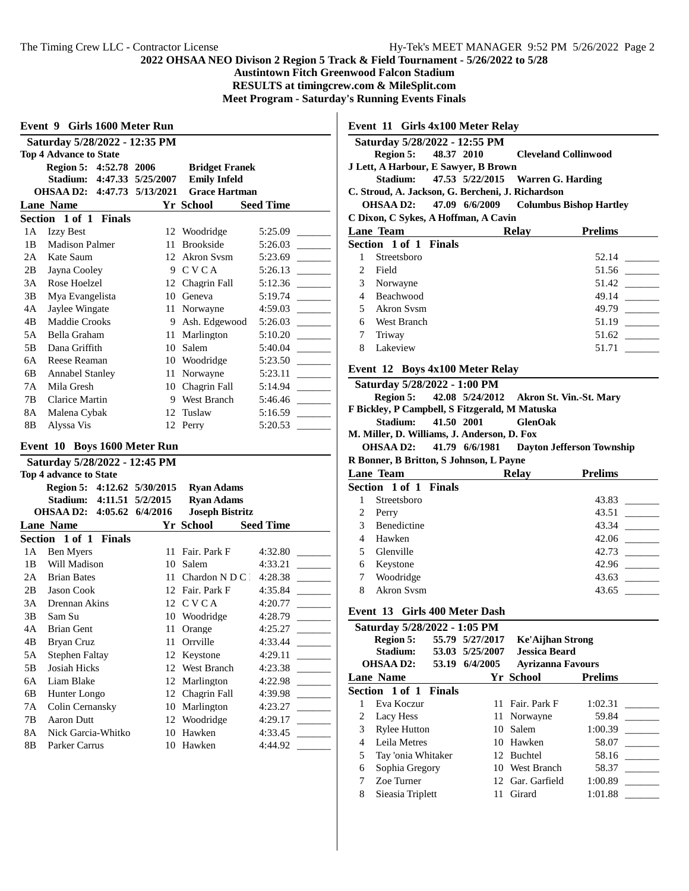**Austintown Fitch Greenwood Falcon Stadium**

**RESULTS at timingcrew.com & MileSplit.com**

 $\mathbf{I}$ 

**Meet Program - Saturday's Running Events Finals**

| Saturday 5/28/2022 - 12:35 PM |    |                                                                                       |                                                            |  |  |
|-------------------------------|----|---------------------------------------------------------------------------------------|------------------------------------------------------------|--|--|
| <b>Top 4 Advance to State</b> |    |                                                                                       |                                                            |  |  |
|                               |    | <b>Bridget Franek</b>                                                                 |                                                            |  |  |
| Stadium:                      |    | <b>Emily Infeld</b>                                                                   |                                                            |  |  |
|                               |    | <b>Grace Hartman</b>                                                                  |                                                            |  |  |
| <b>Lane Name</b>              |    |                                                                                       | <b>Seed Time</b>                                           |  |  |
| Section 1 of 1 Finals         |    |                                                                                       |                                                            |  |  |
| <b>Izzy Best</b>              |    |                                                                                       | 5:25.09                                                    |  |  |
| <b>Madison Palmer</b>         | 11 | Brookside                                                                             | 5:26.03                                                    |  |  |
| Kate Saum                     | 12 | Akron Sysm                                                                            | 5:23.69                                                    |  |  |
| Jayna Cooley                  | 9  | <b>CVCA</b>                                                                           | 5:26.13                                                    |  |  |
| Rose Hoelzel                  | 12 | Chagrin Fall                                                                          | 5:12.36                                                    |  |  |
| Mya Evangelista               | 10 | Geneva                                                                                | 5:19.74                                                    |  |  |
| Jaylee Wingate                | 11 | Norwayne                                                                              | 4:59.03                                                    |  |  |
| <b>Maddie Crooks</b>          | 9  | Ash. Edgewood                                                                         | 5:26.03                                                    |  |  |
| Bella Graham                  | 11 | Marlington                                                                            | 5:10.20                                                    |  |  |
| Dana Griffith                 | 10 | Salem                                                                                 | 5:40.04                                                    |  |  |
| Reese Reaman                  | 10 | Woodridge                                                                             | 5:23.50                                                    |  |  |
| <b>Annabel Stanley</b>        | 11 | Norwayne                                                                              | 5:23.11                                                    |  |  |
| Mila Gresh                    | 10 | Chagrin Fall                                                                          | 5:14.94                                                    |  |  |
| Clarice Martin                | 9  | West Branch                                                                           | 5:46.46                                                    |  |  |
| Malena Cybak                  | 12 | Tuslaw                                                                                | 5:16.59                                                    |  |  |
| Alyssa Vis                    |    |                                                                                       | 5:20.53                                                    |  |  |
|                               |    | Event 9 Girls 1600 Meter Run<br>Region 5: 4:52.78 2006<br>OHSAA D2: 4:47.73 5/13/2021 | 4:47.33 5/25/2007<br>Yr School<br>12 Woodridge<br>12 Perry |  |  |

# **Event 10 Boys 1600 Meter Run**

| Saturday 5/28/2022 - 12:45 PM |                              |          |                        |                  |  |
|-------------------------------|------------------------------|----------|------------------------|------------------|--|
|                               | Top 4 advance to State       |          |                        |                  |  |
|                               | Region 5: 4:12.62 5/30/2015  |          | <b>Ryan Adams</b>      |                  |  |
|                               | 4:11.51<br>Stadium:          | 5/2/2015 | <b>Ryan Adams</b>      |                  |  |
|                               | OHSAA D2: 4:05.62 6/4/2016   |          | <b>Joseph Bistritz</b> |                  |  |
|                               | <b>Lane Name</b>             |          | Yr School              | <b>Seed Time</b> |  |
|                               | <b>Section 1 of 1 Finals</b> |          |                        |                  |  |
| 1A                            | Ben Myers                    | 11       | Fair. Park F           | 4:32.80          |  |
| 1B                            | Will Madison                 | 10       | Salem                  | 4:33.21          |  |
| 2A                            | <b>Brian Bates</b>           | 11       | Chardon $N$ D C $\Box$ | 4:28.38          |  |
| 2B                            | <b>Jason Cook</b>            | 12       | Fair. Park F           | 4:35.84          |  |
| 3A                            | Drennan Akins                | 12       | <b>CVCA</b>            | 4:20.77          |  |
| 3B                            | Sam Su                       | 10       | Woodridge              | 4:28.79          |  |
| 4A                            | <b>Brian Gent</b>            | 11       | Orange                 | 4:25.27          |  |
| 4B                            | <b>Bryan Cruz</b>            | 11       | Orrville               | 4:33.44          |  |
| 5A                            | Stephen Faltay               | 12       | Keystone               | 4:29.11          |  |
| 5B                            | Josiah Hicks                 | 12       | West Branch            | 4:23.38          |  |
| 6A                            | Liam Blake                   | 12       | Marlington             | 4:22.98          |  |
| 6B                            | Hunter Longo                 | 12       | Chagrin Fall           | 4:39.98          |  |
| 7 A                           | Colin Cernansky              | 10       | Marlington             | 4:23.27          |  |
| 7В                            | Aaron Dutt                   | 12       | Woodridge              | 4:29.17          |  |
| 8Α                            | Nick Garcia-Whitko           | 10       | Hawken                 | 4:33.45          |  |
| 8B                            | Parker Carrus                | 10       | Hawken                 | 4:44.92          |  |
|                               |                              |          |                        |                  |  |

**Event 11 Girls 4x100 Meter Relay**

|                                                   | Saturday 5/28/2022 - 12:55 PM        |  |                                            |       |                |  |
|---------------------------------------------------|--------------------------------------|--|--------------------------------------------|-------|----------------|--|
|                                                   |                                      |  | Region 5: 48.37 2010 Cleveland Collinwood  |       |                |  |
|                                                   | J Lett, A Harbour, E Sawyer, B Brown |  |                                            |       |                |  |
|                                                   |                                      |  | Stadium: 47.53 5/22/2015 Warren G. Harding |       |                |  |
| C. Stroud, A. Jackson, G. Bercheni, J. Richardson |                                      |  |                                            |       |                |  |
| OHSAA D2: 47.09 6/6/2009 Columbus Bishop Hartley  |                                      |  |                                            |       |                |  |
| C Dixon, C Sykes, A Hoffman, A Cavin              |                                      |  |                                            |       |                |  |
|                                                   | Lane Team                            |  |                                            | Relay | <b>Prelims</b> |  |
|                                                   | Section 1 of 1 Finals                |  |                                            |       |                |  |
| 1                                                 | Streetsboro                          |  |                                            |       | 52.14          |  |
|                                                   | 2 Field                              |  |                                            |       | 51.56          |  |
| $\mathfrak{Z}$                                    | Norwayne                             |  |                                            |       | 51.42          |  |
| $\overline{4}$                                    | Beachwood                            |  |                                            |       | 49.14          |  |
|                                                   | 5 Akron Sysm                         |  |                                            |       | 49.79          |  |
| 6.                                                | West Branch                          |  |                                            |       | 51.19          |  |
| 7                                                 | Triway                               |  |                                            |       | 51.62          |  |
| 8                                                 | Lakeview                             |  |                                            |       | 51.71          |  |
|                                                   |                                      |  |                                            |       |                |  |

#### **Event 12 Boys 4x100 Meter Relay**

| Saturday 5/28/2022 - 1:00 PM                   |                     |                |                                                    |
|------------------------------------------------|---------------------|----------------|----------------------------------------------------|
|                                                |                     |                | Region 5: 42.08 5/24/2012 Akron St. Vin.-St. Mary  |
| F Bickley, P Campbell, S Fitzgerald, M Matuska |                     |                |                                                    |
|                                                | Stadium: 41.50 2001 | <b>GlenOak</b> |                                                    |
| M. Miller, D. Williams, J. Anderson, D. Fox    |                     |                |                                                    |
|                                                |                     |                | OHSAA D2: 41.79 6/6/1981 Davton Jefferson Township |
| R Bonner, B Britton, S Johnson, L Payne        |                     |                |                                                    |
| <b>Lane Team</b>                               |                     | Relav          | <b>Prelims</b>                                     |

|   | <b>Section 1 of 1 Finals</b> |       |
|---|------------------------------|-------|
|   | Streetsboro                  | 43.83 |
|   | Perry                        | 43.51 |
| 3 | Benedictine                  | 43.34 |
| 4 | Hawken                       | 42.06 |
|   | Glenville                    | 42.73 |
| 6 | Keystone                     | 42.96 |
|   | Woodridge                    | 43.63 |
| 8 | Akron Sysm                   | 43.65 |
|   |                              |       |

# **Event 13 Girls 400 Meter Dash**

| Saturday 5/28/2022 - 1:05 PM |                              |                 |                          |                |  |
|------------------------------|------------------------------|-----------------|--------------------------|----------------|--|
|                              | Region 5:                    | 55.79 5/27/2017 | <b>Ke'Aijhan Strong</b>  |                |  |
|                              | Stadium:                     | 53.03 5/25/2007 | <b>Jessica Beard</b>     |                |  |
|                              | <b>OHSAAD2:</b><br>53.19     | 6/4/2005        | <b>Ayrizanna Favours</b> |                |  |
|                              | <b>Lane Name</b>             |                 | Yr School                | <b>Prelims</b> |  |
|                              | <b>Section 1 of 1 Finals</b> |                 |                          |                |  |
|                              | Eva Koczur                   |                 | 11 Fair, Park F          | 1:02.31        |  |
|                              | Lacy Hess                    |                 | 11 Norwayne              | 59.84          |  |
| 3                            | <b>Rylee Hutton</b>          | 10 <sup>1</sup> | Salem                    | 1:00.39        |  |
| 4                            | Leila Metres                 | 10              | Hawken                   | 58.07          |  |
| 5                            | Tay 'onia Whitaker           |                 | 12 Buchtel               | 58.16          |  |
| 6                            | Sophia Gregory               |                 | 10 West Branch           | 58.37          |  |
|                              | Zoe Turner                   |                 | 12 Gar. Garfield         | 1:00.89        |  |
| 8                            | Sieasia Triplett             | 11              | Girard                   | 1:01.88        |  |
|                              |                              |                 |                          |                |  |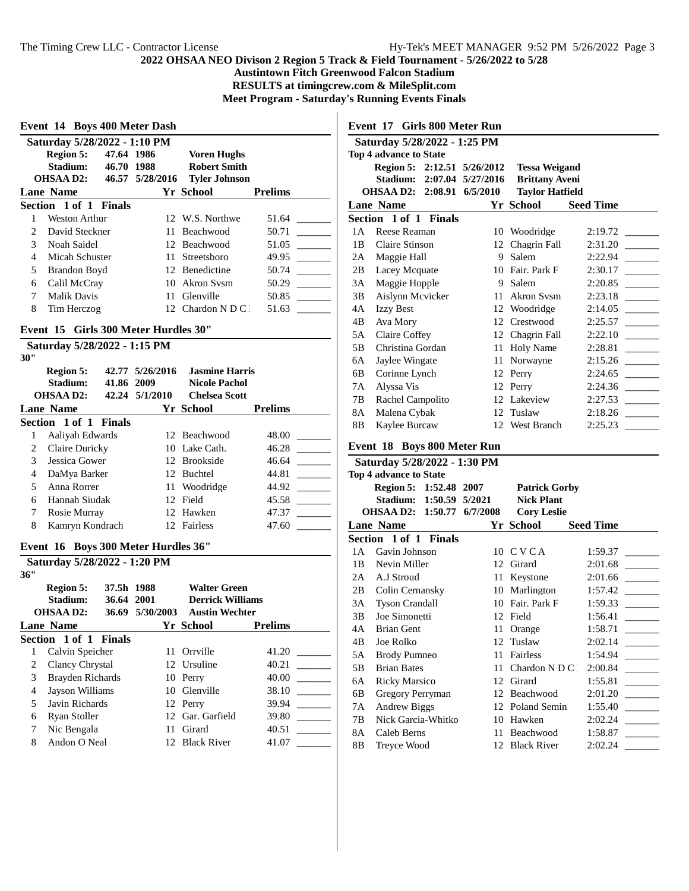**Austintown Fitch Greenwood Falcon Stadium**

**RESULTS at timingcrew.com & MileSplit.com**

**Meet Program - Saturday's Running Events Finals**

|                          | Event 14 Boys 400 Meter Dash         |               |                 |                                              |                |  |  |
|--------------------------|--------------------------------------|---------------|-----------------|----------------------------------------------|----------------|--|--|
|                          | Saturday 5/28/2022 - 1:10 PM         |               |                 |                                              |                |  |  |
|                          | <b>Region 5:</b>                     | 47.64 1986    |                 | <b>Voren Hughs</b>                           |                |  |  |
|                          | Stadium:                             | 46.70 1988    |                 | <b>Robert Smith</b>                          |                |  |  |
|                          | <b>OHSAA D2:</b>                     |               | 46.57 5/28/2016 | <b>Tyler Johnson</b>                         |                |  |  |
|                          | <b>Lane Name</b>                     |               |                 | Yr School                                    | <b>Prelims</b> |  |  |
|                          | Section 1 of 1 Finals                |               |                 |                                              |                |  |  |
| 1                        | <b>Weston Arthur</b>                 |               |                 | 12 W.S. Northwe                              | 51.64          |  |  |
| $\overline{2}$           | David Steckner                       |               |                 | 11 Beachwood                                 | 50.71          |  |  |
| 3                        | Noah Saidel                          |               |                 | 12 Beachwood                                 | 51.05          |  |  |
| 4                        | Micah Schuster                       |               | 11.             | Streetsboro                                  | 49.95          |  |  |
| 5                        | <b>Brandon Boyd</b>                  |               |                 | 12 Benedictine                               | 50.74          |  |  |
| 6                        | Calil McCray                         |               | 10              | Akron Sysm                                   | 50.29          |  |  |
| 7                        | <b>Malik Davis</b>                   |               | 11              | Glenville                                    | 50.85          |  |  |
| 8                        | Tim Herczog                          |               | 12              | Chardon N D C                                | 51.63          |  |  |
|                          |                                      |               |                 |                                              |                |  |  |
|                          | Event 15 Girls 300 Meter Hurdles 30" |               |                 |                                              |                |  |  |
|                          | Saturday 5/28/2022 - 1:15 PM         |               |                 |                                              |                |  |  |
| 30"                      |                                      |               |                 |                                              |                |  |  |
|                          | <b>Region 5:</b>                     |               | 42.77 5/26/2016 | <b>Jasmine Harris</b>                        |                |  |  |
|                          | Stadium:<br><b>OHSAAD2:</b>          | 41.86 2009    | 42.24 5/1/2010  | <b>Nicole Pachol</b><br><b>Chelsea Scott</b> |                |  |  |
|                          |                                      |               |                 |                                              |                |  |  |
|                          | <b>Lane Name</b>                     |               |                 | Yr School                                    | <b>Prelims</b> |  |  |
|                          | Section 1 of 1 Finals                |               |                 |                                              |                |  |  |
| 1                        | Aaliyah Edwards                      |               |                 | 12 Beachwood                                 | 48.00          |  |  |
| 2                        | Claire Duricky                       |               |                 | 10 Lake Cath.                                | 46.28          |  |  |
| 3                        | Jessica Gower                        |               |                 | 12 Brookside                                 | 46.64          |  |  |
| 4                        | DaMya Barker                         |               |                 | 12 Buchtel                                   | 44.81          |  |  |
| 5                        | Anna Rorrer                          |               |                 | 11 Woodridge                                 | 44.92          |  |  |
|                          |                                      |               |                 | 12 Field                                     |                |  |  |
| 6                        | Hannah Siudak                        |               |                 |                                              | 45.58          |  |  |
| 7                        | Rosie Murray                         |               |                 | 12 Hawken                                    | 47.37          |  |  |
| 8                        | Kamryn Kondrach                      |               |                 | 12 Fairless                                  | 47.60          |  |  |
|                          | Event 16 Boys 300 Meter Hurdles 36"  |               |                 |                                              |                |  |  |
|                          | Saturday 5/28/2022 - 1:20 PM         |               |                 |                                              |                |  |  |
| 36"                      |                                      |               |                 |                                              |                |  |  |
|                          | <b>Region 5:</b>                     | 37.5h 1988    |                 | <b>Walter Green</b>                          |                |  |  |
|                          | Stadium:                             | 36.64 2001    |                 | <b>Derrick Williams</b>                      |                |  |  |
|                          | <b>OHSAAD2:</b>                      | 36.69         | 5/30/2003       | <b>Austin Wechter</b>                        |                |  |  |
|                          | <b>Lane Name</b>                     |               |                 | Yr School                                    | <b>Prelims</b> |  |  |
| <b>Section</b>           |                                      | 1 of 1 Finals |                 |                                              |                |  |  |
| $\mathbf{1}$             | Calvin Speicher                      |               | 11              | Orrville                                     | 41.20          |  |  |
| $\overline{c}$           | Clancy Chrystal                      |               | 12              | Ursuline                                     | 40.21          |  |  |
| 3                        | <b>Brayden Richards</b>              |               | 10              | Perry                                        | 40.00          |  |  |
| $\overline{\mathcal{L}}$ | <b>Jayson Williams</b>               |               | 10              | Glenville                                    | 38.10          |  |  |
| 5                        | Javin Richards                       |               |                 | 12 Perry                                     | 39.94          |  |  |
| 6                        | Ryan Stoller                         |               | 12              | Gar. Garfield                                | 39.80          |  |  |
| 7                        | Nic Bengala<br>Andon O Neal          |               | 11              | Girard<br><b>Black River</b>                 | 40.51          |  |  |

**Event 17 Girls 800 Meter Run**

| Saturday 5/28/2022 - 1:25 PM |                              |  |                            |                        |                  |  |
|------------------------------|------------------------------|--|----------------------------|------------------------|------------------|--|
|                              | Top 4 advance to State       |  |                            |                        |                  |  |
|                              | Region 5: 2:12.51 5/26/2012  |  |                            | <b>Tessa Weigand</b>   |                  |  |
|                              |                              |  | Stadium: 2:07.04 5/27/2016 | <b>Brittany Aveni</b>  |                  |  |
|                              | OHSAA D2: 2:08.91 6/5/2010   |  |                            | <b>Taylor Hatfield</b> |                  |  |
|                              | <b>Lane Name</b>             |  |                            | Yr School              | <b>Seed Time</b> |  |
|                              | Section 1 of 1 Finals        |  |                            |                        |                  |  |
| 1 A                          | Reese Reaman                 |  | 10                         | Woodridge              | 2:19.72          |  |
| 1B                           | Claire Stinson               |  | 12                         | Chagrin Fall           | 2:31.20          |  |
| 2A                           | Maggie Hall                  |  | 9                          | Salem                  | 2:22.94          |  |
| 2B                           | Lacey Mcquate                |  |                            | 10 Fair, Park F        | 2:30.17          |  |
| 3A                           | Maggie Hopple                |  | 9                          | Salem                  | 2:20.85          |  |
| 3B                           | Aislynn Mcvicker             |  | 11                         | <b>Akron Sysm</b>      | 2:23.18          |  |
| 4A                           | <b>Izzy Best</b>             |  | 12                         | Woodridge              | 2:14.05          |  |
| 4B                           | Ava Mory                     |  | 12                         | Crestwood              | 2:25.57          |  |
| 5A                           | Claire Coffey                |  |                            | 12 Chagrin Fall        | 2:22.10          |  |
| 5B                           | Christina Gordan             |  | 11                         | <b>Holy Name</b>       | 2:28.81          |  |
| 6A                           | Jaylee Wingate               |  | 11                         | Norwayne               | 2:15.26          |  |
| 6B                           | Corinne Lynch                |  | 12                         | Perry                  | 2:24.65          |  |
| 7A                           | Alyssa Vis                   |  |                            | 12 Perry               | 2:24.36          |  |
| 7В                           | Rachel Campolito             |  |                            | 12 Lakeview            | 2:27.53          |  |
| 8A                           | Malena Cybak                 |  | 12                         | Tuslaw                 | 2:18.26          |  |
| 8B                           | Kaylee Burcaw                |  |                            | 12 West Branch         | 2:25.23          |  |
|                              |                              |  |                            |                        |                  |  |
|                              | Event 18 Boys 800 Meter Run  |  |                            |                        |                  |  |
|                              | Saturday 5/28/2022 - 1:30 PM |  |                            |                        |                  |  |
|                              |                              |  |                            |                        |                  |  |

|                        | $D4U1U1U4y 2/20/2022 - 1.0011M1$ |  |          |                      |                  |
|------------------------|----------------------------------|--|----------|----------------------|------------------|
| Top 4 advance to State |                                  |  |          |                      |                  |
|                        | Region 5: 1:52.48 2007           |  |          | <b>Patrick Gorby</b> |                  |
|                        | Stadium: 1:50.59 5/2021          |  |          | <b>Nick Plant</b>    |                  |
|                        | <b>OHSAA D2: 1:50.77</b>         |  | 6/7/2008 | <b>Cory Leslie</b>   |                  |
|                        | <b>Lane Name</b>                 |  |          | Yr School            | <b>Seed Time</b> |
|                        | Section 1 of 1 Finals            |  |          |                      |                  |
| 1 A                    | Gavin Johnson                    |  |          | 10 CVCA              | 1:59.37          |
| 1B                     | Nevin Miller                     |  | 12       | Girard               | 2:01.68          |
| 2A                     | A.J Stroud                       |  | 11       | Keystone             | 2:01.66          |
| 2B                     | Colin Cernansky                  |  | 10       | Marlington           | 1:57.42          |
| 3A                     | <b>Tyson Crandall</b>            |  | 10       | Fair. Park F         | 1:59.33          |
| 3B                     | Joe Simonetti                    |  |          | 12 Field             | 1:56.41          |
| 4A                     | <b>Brian Gent</b>                |  | 11       | Orange               | 1:58.71          |
| 4B                     | Joe Rolko                        |  | 12       | Tuslaw               | 2:02.14          |
| 5A                     | <b>Brody Pumneo</b>              |  | 11       | Fairless             | 1:54.94          |
| 5B                     | <b>Brian Bates</b>               |  | 11       | Chardon N D C 1      | 2:00.84          |
| 6A                     | <b>Ricky Marsico</b>             |  | 12       | Girard               | 1:55.81          |
| 6B                     | Gregory Perryman                 |  | 12       | Beachwood            | 2:01.20          |
| 7Α                     | <b>Andrew Biggs</b>              |  | 12       | Poland Semin         | 1:55.40          |
| 7В                     | Nick Garcia-Whitko               |  | 10       | Hawken               | 2:02.24          |
| 8A                     | Caleb Berns                      |  | 11       | Beachwood            | 1:58.87          |
| 8Β                     | <b>Treyce Wood</b>               |  |          | 12 Black River       | 2:02.24          |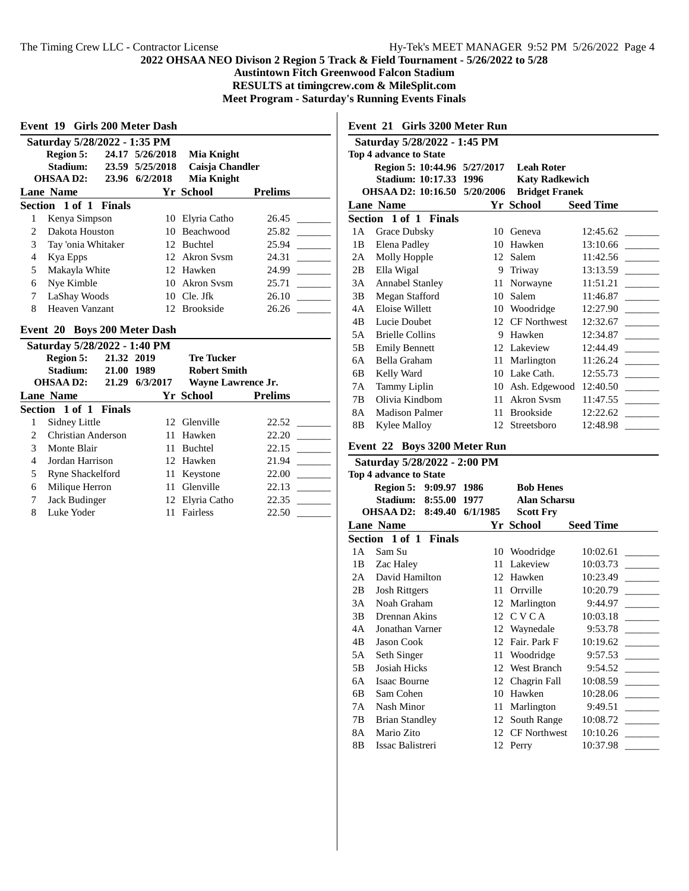$\overline{\phantom{a}}$ 

**Austintown Fitch Greenwood Falcon Stadium**

**RESULTS at timingcrew.com & MileSplit.com**

**Meet Program - Saturday's Running Events Finals**

| Region 5:          |    | <b>Mia Knight</b>                                                                                                                              |                                                                                                                                      |  |
|--------------------|----|------------------------------------------------------------------------------------------------------------------------------------------------|--------------------------------------------------------------------------------------------------------------------------------------|--|
| Stadium:           |    | Caisja Chandler                                                                                                                                |                                                                                                                                      |  |
| OHSAA D2:          |    | Mia Knight                                                                                                                                     |                                                                                                                                      |  |
| Lane Name          |    |                                                                                                                                                | <b>Prelims</b>                                                                                                                       |  |
|                    |    |                                                                                                                                                |                                                                                                                                      |  |
| Kenya Simpson      | 10 |                                                                                                                                                | 26.45                                                                                                                                |  |
| Dakota Houston     |    |                                                                                                                                                | 25.82                                                                                                                                |  |
| Tay 'onia Whitaker |    |                                                                                                                                                | 25.94                                                                                                                                |  |
| Kya Epps           |    |                                                                                                                                                | 24.31                                                                                                                                |  |
| Makayla White      |    |                                                                                                                                                | 24.99                                                                                                                                |  |
| Nye Kimble         | 10 |                                                                                                                                                | 25.71                                                                                                                                |  |
| LaShay Woods       |    |                                                                                                                                                | 26.10                                                                                                                                |  |
| Heaven Vanzant     |    |                                                                                                                                                | 26.26                                                                                                                                |  |
|                    |    | Event 19 Girls 200 Meter Dash<br>Saturday 5/28/2022 - 1:35 PM<br>24.17 5/26/2018<br>23.59 5/25/2018<br>23.96 6/2/2018<br>Section 1 of 1 Finals | Yr School<br>Elyria Catho<br>10 Beachwood<br>12 Buchtel<br>12 Akron Sysm<br>12 Hawken<br>Akron Svsm<br>$10$ Cle. Jfk<br>12 Brookside |  |

#### **Event 20 Boys 200 Meter Dash**

| Saturday 5/28/2022 - 1:40 PM   |                         |                |                           |                |  |
|--------------------------------|-------------------------|----------------|---------------------------|----------------|--|
| 21.32 2019<br><b>Region 5:</b> |                         |                | <b>Tre Tucker</b>         |                |  |
|                                | Stadium:<br>21.00 1989  |                | <b>Robert Smith</b>       |                |  |
|                                | OHSAA D2:               | 21.29 6/3/2017 | <b>Wayne Lawrence Jr.</b> |                |  |
|                                | Lane Name               |                | Yr School                 | <b>Prelims</b> |  |
|                                | Section 1 of 1 Finals   |                |                           |                |  |
|                                | Sidney Little           |                | 12 Glenville              | 22.52          |  |
| 2                              | Christian Anderson      |                | 11 Hawken                 | 22.20          |  |
| 3                              | Monte Blair             | 11.            | Buchtel                   | 22.15          |  |
| 4                              | Jordan Harrison         |                | 12 Hawken                 | 21.94          |  |
| 5                              | <b>Ryne Shackelford</b> | 11             | Keystone                  | 22.00          |  |
| 6                              | Milique Herron          | 11.            | Glenville                 | 22.13          |  |
| 7                              | Jack Budinger           |                | 12 Elvria Catho           | 22.35          |  |
| 8                              | Luke Yoder              |                | Fairless                  | 22.50          |  |

## **Event 21 Girls 3200 Meter Run Saturday 5/28/2022 - 1:45 PM Top 4 advance to State Region 5: 10:44.96 5/27/2017 Leah Roter Stadium: 10:17.33 1996 Katy Radkewich OHSAA D2: 10:16.50 5/20/2006 Lane Name Yr School Seed Time Section 1 of 1 Finals** 1A Grace Dubsky 10 Geneva 12:45.62 1B Elena Padley 10 Hawken 13:10.66 \_\_\_\_\_\_\_\_\_ 2A Molly Hopple 12 Salem 11:42.56 \_\_\_\_\_\_ 2B Ella Wigal 9 Triway 13:13.59 3A Annabel Stanley 11 Norwayne 11:51.21 3B Megan Stafford 10 Salem 11:46.87 4A Eloise Willett 10 Woodridge 12:27.90 4B Lucie Doubet 12 CF Northwest 12:32.67 \_\_\_\_\_\_\_ 5A Brielle Collins 9 Hawken 12:34.87 \_\_\_\_\_\_\_\_\_ 5B Emily Bennett 12 Lakeview 12:44.49 \_\_\_\_\_\_\_\_\_ 6A Bella Graham 11 Marlington 11:26.24 6B Kelly Ward 10 Lake Cath. 12:55.73 7A Tammy Liplin 10 Ash. Edgewood 12:40.50 7B Olivia Kindbom 11 Akron Svsm 11:47.55 \_\_\_\_\_\_ 8A Madison Palmer 11 Brookside 12:22.62 8B Kylee Malloy 12 Streetsboro 12:48.98 \_\_\_\_\_\_\_\_\_ **Event 22 Boys 3200 Meter Run**

| Saturday 5/28/2022 - 2:00 PM  |                             |          |                     |                  |  |  |
|-------------------------------|-----------------------------|----------|---------------------|------------------|--|--|
| <b>Top 4 advance to State</b> |                             |          |                     |                  |  |  |
|                               | 9:09.97 1986<br>Region 5:   |          | <b>Bob Henes</b>    |                  |  |  |
|                               | 8:55.00<br>Stadium:         | 1977     | <b>Alan Scharsu</b> |                  |  |  |
|                               | <b>OHSAA D2:</b><br>8:49.40 | 6/1/1985 | <b>Scott Fry</b>    |                  |  |  |
|                               | <b>Lane Name</b>            |          | Yr School           | <b>Seed Time</b> |  |  |
|                               | Section 1 of 1 Finals       |          |                     |                  |  |  |
| 1 A                           | Sam Su                      | 10       | Woodridge           | 10:02.61         |  |  |
| 1B                            | Zac Haley                   | 11       | Lakeview            | 10:03.73         |  |  |
| 2A                            | David Hamilton              | 12       | Hawken              | 10:23.49         |  |  |
| 2B                            | <b>Josh Rittgers</b>        | 11       | Orrville            | 10:20.79         |  |  |
| 3A                            | Noah Graham                 | 12       | Marlington          | 9:44.97          |  |  |
| 3B                            | Drennan Akins               | 12       | <b>CVCA</b>         | 10:03.18         |  |  |
| 4A                            | Jonathan Varner             | 12       | Waynedale           | 9:53.78          |  |  |
| 4B                            | <b>Jason Cook</b>           | 12       | Fair. Park F        | 10:19.62         |  |  |
| 5A                            | Seth Singer                 | 11       | Woodridge           | 9:57.53          |  |  |
| 5B                            | Josiah Hicks                | 12       | West Branch         | 9:54.52          |  |  |
| 6A                            | Isaac Bourne                | 12       | Chagrin Fall        | 10:08.59         |  |  |
| 6B                            | Sam Cohen                   | 10       | Hawken              | 10:28.06         |  |  |
| 7 A                           | Nash Minor                  | 11       | Marlington          | 9:49.51          |  |  |
| 7В                            | <b>Brian Standley</b>       | 12       | South Range         | 10:08.72         |  |  |
| 8A                            | Mario Zito                  | 12       | <b>CF Northwest</b> | 10:10.26         |  |  |
| 8B                            | Issac Balistreri            | 12       | Perry               | 10:37.98         |  |  |
|                               |                             |          |                     |                  |  |  |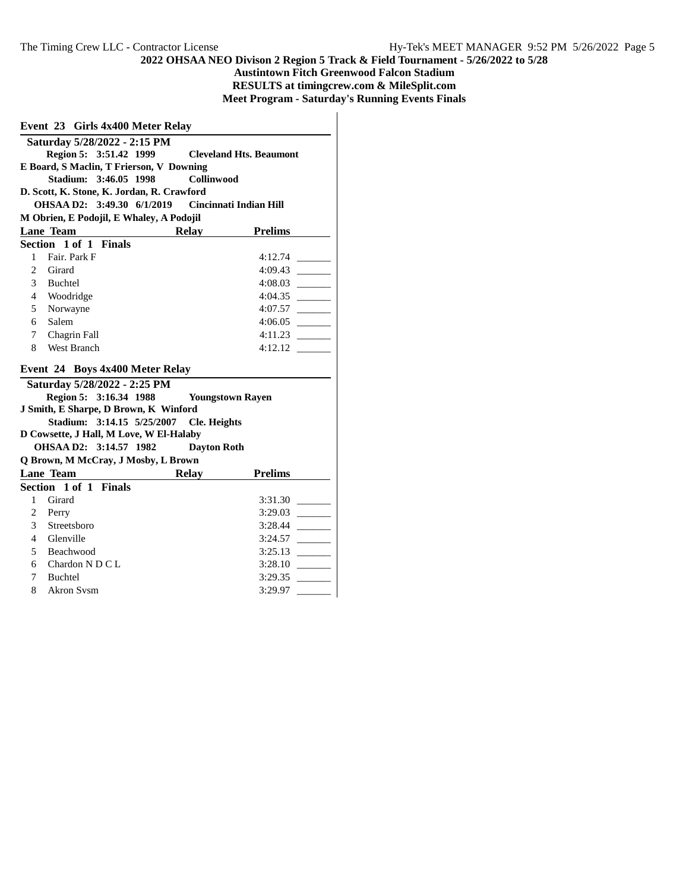# **2022 OHSAA NEO Divison 2 Region 5 Track & Field Tournament - 5/26/2022 to 5/28 Austintown Fitch Greenwood Falcon Stadium RESULTS at timingcrew.com & MileSplit.com Meet Program - Saturday's Running Events Finals**

|                                                             | Event 23 Girls 4x400 Meter Relay                         |                     |                         |  |  |  |  |  |
|-------------------------------------------------------------|----------------------------------------------------------|---------------------|-------------------------|--|--|--|--|--|
|                                                             | Saturday 5/28/2022 - 2:15 PM                             |                     |                         |  |  |  |  |  |
|                                                             | Region 5: 3:51.42 1999<br><b>Cleveland Hts. Beaumont</b> |                     |                         |  |  |  |  |  |
| E Board, S Maclin, T Frierson, V Downing                    |                                                          |                     |                         |  |  |  |  |  |
| Stadium: 3:46.05 1998<br>Collinwood                         |                                                          |                     |                         |  |  |  |  |  |
| D. Scott, K. Stone, K. Jordan, R. Crawford                  |                                                          |                     |                         |  |  |  |  |  |
| OHSAA D2: 3:49.30 6/1/2019<br><b>Cincinnati Indian Hill</b> |                                                          |                     |                         |  |  |  |  |  |
|                                                             | M Obrien, E Podojil, E Whaley, A Podojil                 |                     |                         |  |  |  |  |  |
|                                                             | <b>Lane Team</b>                                         | <b>Relay</b>        | <b>Prelims</b>          |  |  |  |  |  |
|                                                             | Section 1 of 1 Finals                                    |                     |                         |  |  |  |  |  |
| 1                                                           | Fair, Park F                                             |                     | 4:12.74                 |  |  |  |  |  |
| $\overline{c}$                                              | Girard                                                   |                     | 4:09.43                 |  |  |  |  |  |
| 3                                                           | Buchtel                                                  |                     | 4:08.03                 |  |  |  |  |  |
| $\overline{4}$                                              | Woodridge                                                |                     | 4:04.35                 |  |  |  |  |  |
| 5                                                           | Norwayne                                                 |                     | 4:07.57                 |  |  |  |  |  |
| 6                                                           | Salem                                                    |                     | 4:06.05                 |  |  |  |  |  |
| 7                                                           | Chagrin Fall                                             |                     | 4:11.23                 |  |  |  |  |  |
| 8                                                           | West Branch                                              |                     | 4:12.12                 |  |  |  |  |  |
|                                                             | Event 24 Boys 4x400 Meter Relay                          |                     |                         |  |  |  |  |  |
|                                                             | Saturday 5/28/2022 - 2:25 PM                             |                     |                         |  |  |  |  |  |
|                                                             | Region 5: 3:16.34 1988                                   |                     | <b>Youngstown Rayen</b> |  |  |  |  |  |
|                                                             | J Smith, E Sharpe, D Brown, K Winford                    |                     |                         |  |  |  |  |  |
|                                                             | Stadium: 3:14.15 5/25/2007                               | <b>Cle. Heights</b> |                         |  |  |  |  |  |
|                                                             | D Cowsette, J Hall, M Love, W El-Halaby                  |                     |                         |  |  |  |  |  |
|                                                             | OHSAA D2: 3:14.57 1982                                   | <b>Dayton Roth</b>  |                         |  |  |  |  |  |
|                                                             | Q Brown, M McCray, J Mosby, L Brown                      |                     |                         |  |  |  |  |  |
|                                                             | <b>Lane Team</b>                                         | <b>Relay</b>        | <b>Prelims</b>          |  |  |  |  |  |
|                                                             | Section 1 of 1 Finals                                    |                     |                         |  |  |  |  |  |
| 1                                                           | Girard                                                   |                     | 3:31.30                 |  |  |  |  |  |
| $\overline{c}$                                              | Perry                                                    |                     | 3:29.03                 |  |  |  |  |  |
| 3                                                           | Streetsboro                                              |                     | 3:28.44                 |  |  |  |  |  |
| 4                                                           | Glenville                                                |                     | 3:24.57                 |  |  |  |  |  |
| 5                                                           | Beachwood                                                |                     | 3:25.13                 |  |  |  |  |  |
| 6                                                           | Chardon N D C L                                          |                     | 3:28.10                 |  |  |  |  |  |
| 7                                                           | Buchtel                                                  |                     | 3:29.35                 |  |  |  |  |  |
| 8                                                           | Akron Svsm                                               |                     | 3:29.97                 |  |  |  |  |  |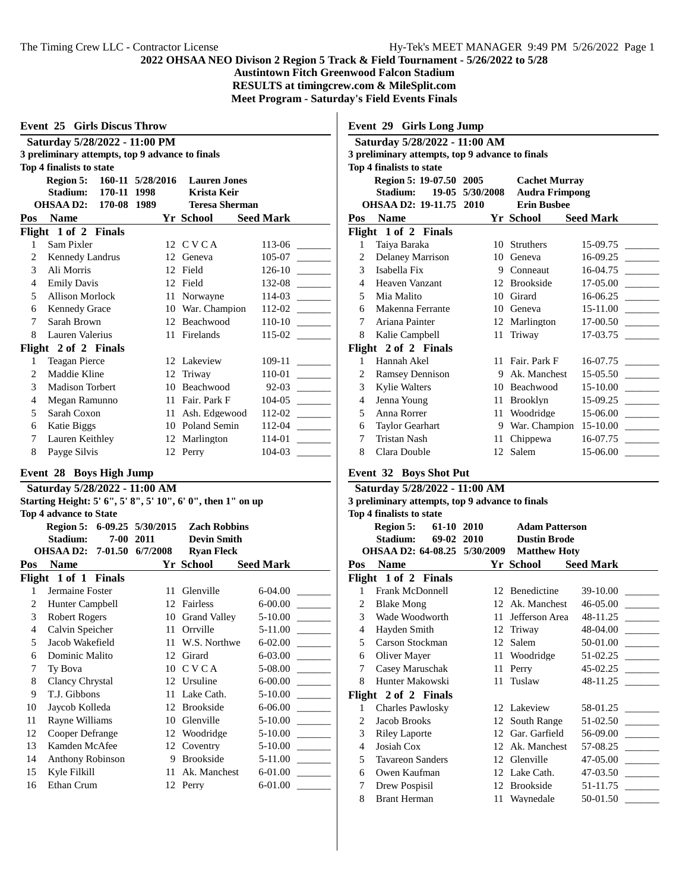**Austintown Fitch Greenwood Falcon Stadium**

**RESULTS at timingcrew.com & MileSplit.com**

 $\mathbf{I}$ 

**Meet Program - Saturday's Field Events Finals**

| <b>Event 25 Girls Discus Throw</b> |                                                 |                  |                       |                  |  |
|------------------------------------|-------------------------------------------------|------------------|-----------------------|------------------|--|
|                                    | Saturday 5/28/2022 - 11:00 PM                   |                  |                       |                  |  |
|                                    | 3 preliminary attempts, top 9 advance to finals |                  |                       |                  |  |
|                                    | Top 4 finalists to state                        |                  |                       |                  |  |
|                                    | <b>Region 5:</b>                                | 160-11 5/28/2016 | <b>Lauren</b> Jones   |                  |  |
|                                    | Stadium:<br>170-11                              | 1998             | Krista Keir           |                  |  |
|                                    | OHSAA D2:<br>170-08                             | 1989             | <b>Teresa Sherman</b> |                  |  |
| Pos                                | <b>Name</b>                                     |                  | Yr School             | <b>Seed Mark</b> |  |
|                                    | Flight 1 of 2 Finals                            |                  |                       |                  |  |
| 1                                  | Sam Pixler                                      | 12               | C V C A               | 113-06           |  |
| 2                                  | Kennedy Landrus                                 | 12               | Geneva                | 105-07           |  |
| $\mathcal{F}$                      | Ali Morris                                      | 12               | Field                 | 126-10           |  |
| 4                                  | <b>Emily Davis</b>                              | 12               | Field                 | 132-08           |  |
| 5                                  | Allison Morlock                                 | 11               | Norwayne              | 114-03           |  |
| 6                                  | <b>Kennedy Grace</b>                            | 10               | War. Champion         | 112-02           |  |
| 7                                  | Sarah Brown                                     | 12               | Beachwood             | 110-10           |  |
| 8                                  | Lauren Valerius                                 | 11               | Firelands             | 115-02           |  |
|                                    | Flight 2 of 2 Finals                            |                  |                       |                  |  |
| 1                                  | <b>Teagan Pierce</b>                            |                  | 12 Lakeview           | 109-11           |  |
| $\mathfrak{D}$                     | Maddie Kline                                    | 12               | Triway                | 110-01           |  |
| 3                                  | Madison Torbert                                 | 10               | <b>Beachwood</b>      | $92 - 03$        |  |
| 4                                  | Megan Ramunno                                   | 11               | Fair. Park F          | $104 - 05$       |  |
| 5                                  | Sarah Coxon                                     | 11               | Ash. Edgewood         | 112-02           |  |
| 6                                  | Katie Biggs                                     | 10               | Poland Semin          | 112-04           |  |
| 7                                  | Lauren Keithley                                 | 12               | Marlington            | 114-01           |  |
| 8                                  | Payge Silvis                                    |                  | 12 Perry              | 104-03           |  |
|                                    |                                                 |                  |                       |                  |  |

### **Event 28 Boys High Jump**

#### **Saturday 5/28/2022 - 11:00 AM Starting Height: 5' 6", 5' 8", 5' 10", 6' 0", then 1" on up Top 4 advance to State Region 5: 6-09.25 5/30/2015 Zach Robbins**

|     | Region 5:                   | $0 - 0.23$ $3/30/2013$ | <i>L</i> ach Roddins |                  |
|-----|-----------------------------|------------------------|----------------------|------------------|
|     | Stadium:<br>$7 - 00$        | 2011                   | <b>Devin Smith</b>   |                  |
|     | <b>OHSAA D2:</b><br>7-01.50 | 6/7/2008               | <b>Ryan Fleck</b>    |                  |
| Pos | <b>Name</b>                 |                        | Yr School            | <b>Seed Mark</b> |
|     | Flight 1 of 1 Finals        |                        |                      |                  |
| 1   | Jermaine Foster             | 11                     | Glenville            | 6-04.00          |
| 2   | Hunter Campbell             |                        | 12 Fairless          | $6 - 00.00$      |
| 3   | Robert Rogers               | 10                     | Grand Valley         | $5 - 10.00$      |
| 4   | Calvin Speicher             | 11                     | Orrville             | 5-11.00          |
| 5   | Jacob Wakefield             | 11                     | W.S. Northwe         | 6-02.00          |
| 6   | Dominic Malito              | 12                     | Girard               | 6-03.00          |
| 7   | Ty Bova                     | 10                     | <b>CVCA</b>          | 5-08.00          |
| 8   | Clancy Chrystal             | 12                     | Ursuline             | $6 - 00.00$      |
| 9   | T.J. Gibbons                | 11                     | Lake Cath.           | 5-10.00          |
| 10  | Jaycob Kolleda              | 12                     | <b>Brookside</b>     | 6-06.00          |
| 11  | Rayne Williams              | 10                     | Glenville            | 5-10.00          |
| 12  | Cooper Defrange             |                        | 12 Woodridge         | $5 - 10.00$      |
| 13  | Kamden McAfee               |                        | 12 Coventry          | $5 - 10.00$      |
| 14  | Anthony Robinson            | 9                      | <b>Brookside</b>     | 5-11.00          |
| 15  | Kyle Filkill                | 11                     | Ak. Manchest         | 6-01.00          |
| 16  | Ethan Crum                  | 12                     | Perry                | 6-01.00          |
|     |                             |                        |                      |                  |

|     | <b>Event 29 Girls Long Jump</b>                 |                 |                       |                  |  |
|-----|-------------------------------------------------|-----------------|-----------------------|------------------|--|
|     | Saturday 5/28/2022 - 11:00 AM                   |                 |                       |                  |  |
|     | 3 preliminary attempts, top 9 advance to finals |                 |                       |                  |  |
|     | Top 4 finalists to state                        |                 |                       |                  |  |
|     | Region 5: 19-07.50 2005<br><b>Cachet Murray</b> |                 |                       |                  |  |
|     | Stadium:                                        | 19-05 5/30/2008 | <b>Audra Frimpong</b> |                  |  |
|     | OHSAA D2: 19-11.75 2010                         |                 | <b>Erin Bushee</b>    |                  |  |
| Pos | <b>Name</b>                                     |                 | Yr School             | <b>Seed Mark</b> |  |
|     | Flight 1 of 2 Finals                            |                 |                       |                  |  |
| 1   | Taiya Baraka                                    | 10              | <b>Struthers</b>      | 15-09.75         |  |
| 2   | Delaney Marrison                                | 10              | Geneva                | $16-09.25$       |  |
| 3   | Isabella Fix                                    | 9               | Conneaut              | 16-04.75         |  |
| 4   | Heaven Vanzant                                  |                 | 12 Brookside          | 17-05.00         |  |
| 5   | Mia Malito                                      | 10              | Girard                | $16-06.25$       |  |
| 6   | Makenna Ferrante                                | 10              | Geneva                | 15-11.00         |  |
| 7   | Ariana Painter                                  | 12              | Marlington            | 17-00.50         |  |
| 8   | Kalie Campbell                                  | 11              | Triway                | 17-03.75         |  |
|     | Flight 2 of 2 Finals                            |                 |                       |                  |  |
| 1   | Hannah Akel                                     | 11              | Fair. Park F          | 16-07.75         |  |
| 2   | <b>Ramsey Dennison</b>                          | 9               | Ak. Manchest          | 15-05.50         |  |
| 3   | Kylie Walters                                   | 10              | Beachwood             | 15-10.00         |  |
| 4   | Jenna Young                                     | 11-             | Brooklyn              | 15-09.25         |  |
| 5   | Anna Rorrer                                     |                 | 11 Woodridge          | 15-06.00         |  |
| 6   | Taylor Gearhart                                 | 9.              | War. Champion         | 15-10.00         |  |
| 7   | <b>Tristan Nash</b>                             | 11              | Chippewa              | $16-07.75$       |  |
| 8   | Clara Double                                    | 12 <sup>1</sup> | Salem                 | 15-06.00         |  |
|     |                                                 |                 |                       |                  |  |

### **Event 32 Boys Shot Put**

#### **Saturday 5/28/2022 - 11:00 AM 3 preliminary attempts, top 9 advance to finals Top 4 finalists to state**

| 10p 4 miansis to state |                              |            |                       |                             |  |
|------------------------|------------------------------|------------|-----------------------|-----------------------------|--|
|                        | Region 5:                    | 61-10 2010 | <b>Adam Patterson</b> |                             |  |
|                        | Stadium:<br>69-02            | 2010       | <b>Dustin Brode</b>   |                             |  |
|                        | OHSAA D2: 64-08.25 5/30/2009 |            | <b>Matthew Hoty</b>   |                             |  |
| Pos                    | <b>Name</b>                  |            | Yr School —           | <b>Seed Mark</b>            |  |
|                        | Flight 1 of 2 Finals         |            |                       |                             |  |
| $\mathbf{1}$           | <b>Frank McDonnell</b>       |            | 12 Benedictine        | 39-10.00                    |  |
| 2                      | <b>Blake Mong</b>            | 12         | Ak. Manchest          | 46-05.00<br><b>Contract</b> |  |
| 3                      | Wade Woodworth               | 11         | Jefferson Area        | 48-11.25                    |  |
| $\overline{4}$         | Hayden Smith                 | 12         | Triway                | 48-04.00                    |  |
| 5                      | Carson Stockman              | 12         | Salem                 | 50-01.00                    |  |
| 6                      | Oliver Mayer                 |            | 11 Woodridge          | 51-02.25                    |  |
| 7                      | Casey Maruschak              |            | 11 Perry              | $45-02.25$                  |  |
| 8                      | Hunter Makowski              | 11         | Tuslaw                | 48-11.25                    |  |
|                        | Flight 2 of 2 Finals         |            |                       |                             |  |
| 1                      | <b>Charles Pawlosky</b>      |            | 12 Lakeview           | 58-01.25                    |  |
| 2                      | Jacob Brooks                 |            | 12 South Range        | $51-02.50$                  |  |
| 3                      | <b>Riley Laporte</b>         |            | 12 Gar. Garfield      | $56-09.00$                  |  |
| 4                      | Josiah Cox                   | 12         | Ak. Manchest          | 57-08.25                    |  |
| 5                      | Tavareon Sanders             |            | 12 Glenville          | 47-05.00                    |  |
| 6                      | Owen Kaufman                 |            | 12 Lake Cath.         | 47-03.50                    |  |
| 7                      | Drew Pospisil                |            | 12 Brookside          | 51-11.75                    |  |
| 8                      | <b>Brant Herman</b>          |            | 11 Waynedale          | 50-01.50                    |  |
|                        |                              |            |                       |                             |  |